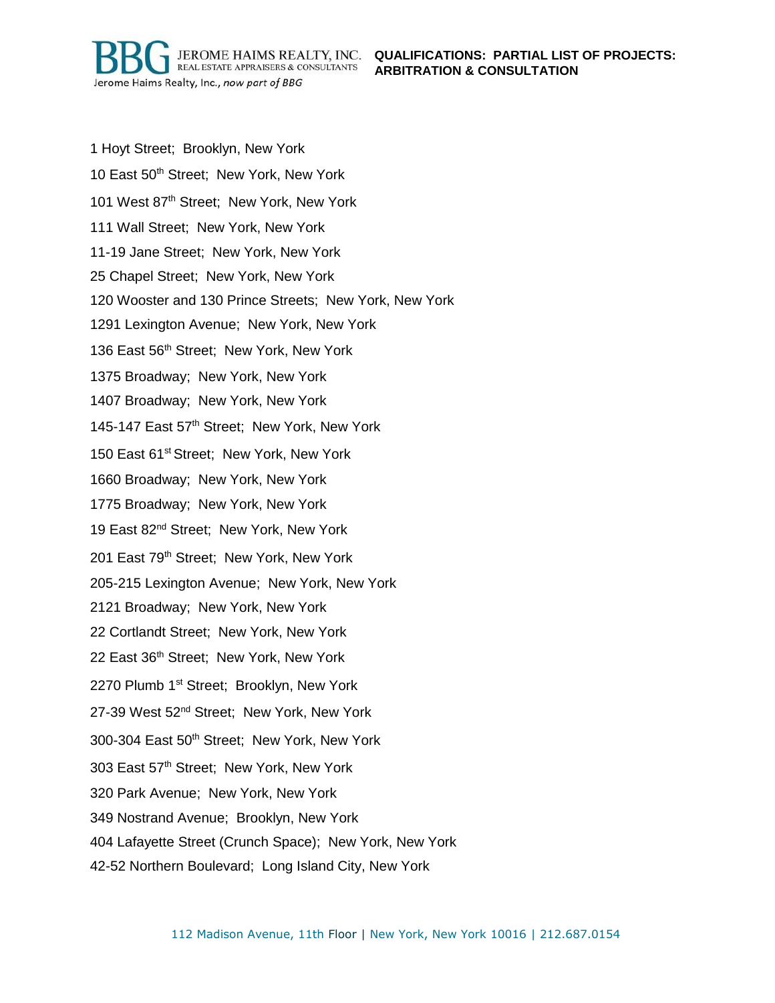JEROME HAIMS REALTY, INC. QUALIFICATIONS: PARTIAL LIST OF PROJECTS: **ARBITRATION & CONSULTATION**

1 Hoyt Street; Brooklyn, New York 10 East 50<sup>th</sup> Street; New York, New York 101 West 87<sup>th</sup> Street; New York, New York 111 Wall Street; New York, New York 11-19 Jane Street; New York, New York 25 Chapel Street; New York, New York 120 Wooster and 130 Prince Streets; New York, New York 1291 Lexington Avenue; New York, New York 136 East 56<sup>th</sup> Street; New York, New York 1375 Broadway; New York, New York 1407 Broadway; New York, New York 145-147 East 57th Street; New York, New York 150 East 61<sup>st</sup> Street: New York, New York 1660 Broadway; New York, New York 1775 Broadway; New York, New York 19 East 82<sup>nd</sup> Street; New York, New York 201 East 79<sup>th</sup> Street; New York, New York 205-215 Lexington Avenue; New York, New York 2121 Broadway; New York, New York 22 Cortlandt Street; New York, New York 22 East 36<sup>th</sup> Street; New York, New York 2270 Plumb 1<sup>st</sup> Street; Brooklyn, New York 27-39 West 52<sup>nd</sup> Street; New York, New York 300-304 East 50<sup>th</sup> Street; New York, New York 303 East 57<sup>th</sup> Street; New York, New York 320 Park Avenue; New York, New York 349 Nostrand Avenue; Brooklyn, New York

REAL ESTATE APPRAISERS & CONSULTANTS

Jerome Haims Realty, Inc., now part of BBG

- 404 Lafayette Street (Crunch Space); New York, New York
- 42-52 Northern Boulevard; Long Island City, New York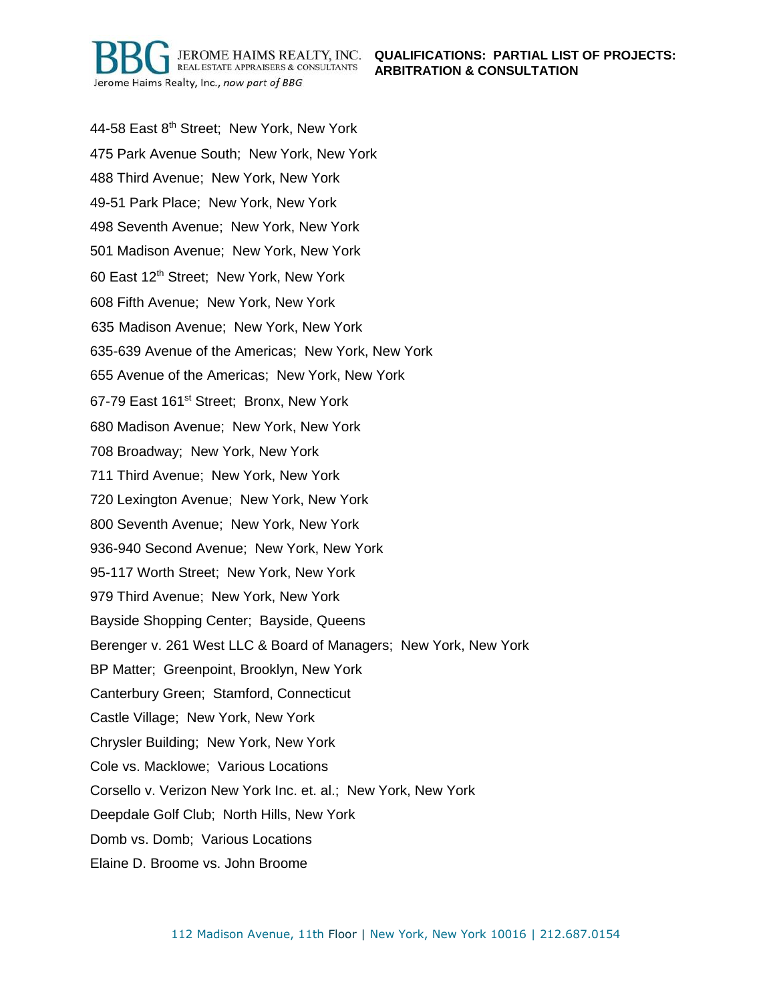REAL ESTATE APPRAISERS & CONSULTANTS Jerome Haims Realty, Inc., now part of BBG

44-58 East 8<sup>th</sup> Street; New York, New York 475 Park Avenue South; New York, New York 488 Third Avenue; New York, New York 49-51 Park Place; New York, New York 498 Seventh Avenue; New York, New York 501 Madison Avenue; New York, New York 60 East 12th Street; New York, New York 608 Fifth Avenue; New York, New York 635 Madison Avenue; New York, New York 635-639 Avenue of the Americas; New York, New York 655 Avenue of the Americas; New York, New York 67-79 East 161st Street; Bronx, New York 680 Madison Avenue; New York, New York 708 Broadway; New York, New York 711 Third Avenue; New York, New York 720 Lexington Avenue; New York, New York 800 Seventh Avenue; New York, New York 936-940 Second Avenue; New York, New York 95-117 Worth Street; New York, New York 979 Third Avenue; New York, New York Bayside Shopping Center; Bayside, Queens Berenger v. 261 West LLC & Board of Managers; New York, New York BP Matter; Greenpoint, Brooklyn, New York Canterbury Green; Stamford, Connecticut Castle Village; New York, New York Chrysler Building; New York, New York Cole vs. Macklowe; Various Locations Corsello v. Verizon New York Inc. et. al.; New York, New York Deepdale Golf Club; North Hills, New York Domb vs. Domb; Various Locations Elaine D. Broome vs. John Broome